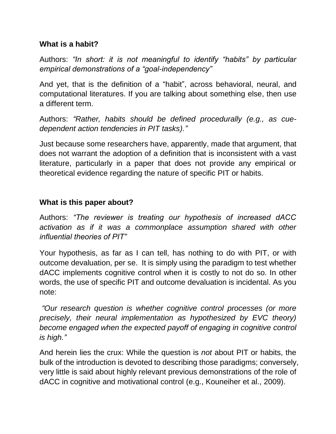## **What is a habit?**

Authors: *"In short: it is not meaningful to identify "habits" by particular empirical demonstrations of a "goal-independency"*

And yet, that is the definition of a "habit", across behavioral, neural, and computational literatures. If you are talking about something else, then use a different term.

Authors: *"Rather, habits should be defined procedurally (e.g., as cuedependent action tendencies in PIT tasks)."*

Just because some researchers have, apparently, made that argument, that does not warrant the adoption of a definition that is inconsistent with a vast literature, particularly in a paper that does not provide any empirical or theoretical evidence regarding the nature of specific PIT or habits.

## **What is this paper about?**

Authors: *"The reviewer is treating our hypothesis of increased dACC activation as if it was a commonplace assumption shared with other influential theories of PIT"*

Your hypothesis, as far as I can tell, has nothing to do with PIT, or with outcome devaluation, per se. It is simply using the paradigm to test whether dACC implements cognitive control when it is costly to not do so. In other words, the use of specific PIT and outcome devaluation is incidental. As you note:

*"Our research question is whether cognitive control processes (or more precisely, their neural implementation as hypothesized by EVC theory) become engaged when the expected payoff of engaging in cognitive control is high."*

And herein lies the crux: While the question is *not* about PIT or habits, the bulk of the introduction is devoted to describing those paradigms; conversely, very little is said about highly relevant previous demonstrations of the role of dACC in cognitive and motivational control (e.g., Kouneiher et al., 2009).